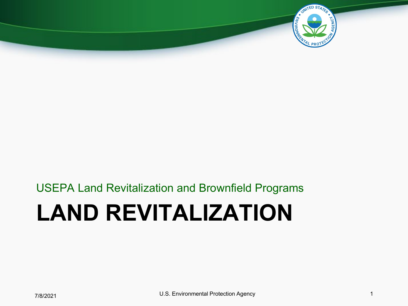

# **LAND REVITALIZATION** USEPA Land Revitalization and Brownfield Programs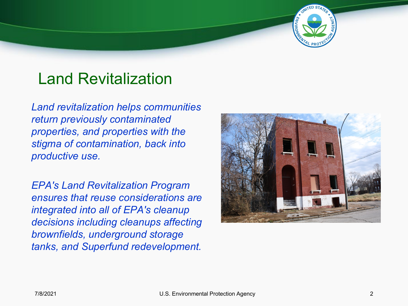## Land Revitalization

*Land revitalization helps communities return previously contaminated properties, and properties with the stigma of contamination, back into productive use.* 

*EPA's Land Revitalization Program ensures that reuse considerations are integrated into all of EPA's cleanup decisions including cleanups affecting brownfields, underground storage tanks, and Superfund redevelopment.*



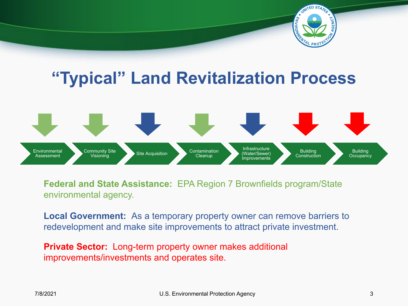

## **"Typical" Land Revitalization Process**



**Federal and State Assistance:** EPA Region 7 Brownfields program/State environmental agency.

**Local Government:** As a temporary property owner can remove barriers to redevelopment and make site improvements to attract private investment.

**Private Sector:** Long-term property owner makes additional improvements/investments and operates site.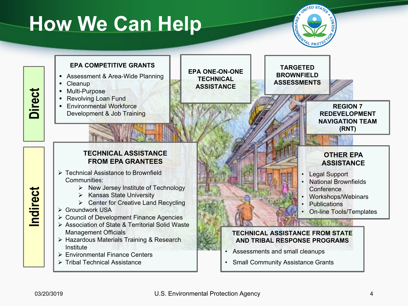# **How We Can Help**



#### **EPA COMPETITIVE GRANTS**

- **Assessment & Area-Wide Planning**
- Cleanup
- **Multi-Purpose**
- Revolving Loan Fund
- **Environmental Workforce** Development & Job Training

**EPA ONE-ON-ONE TECHNICAL ASSISTANCE**

**TARGETED BROWNFIELD ASSESSMENTS**



### **TECHNICAL ASSISTANCE FROM EPA GRANTEES**

- Technical Assistance to Brownfield Communities:
	- $\triangleright$  New Jersey Institute of Technology
	- $\triangleright$  Kansas State University
	- ▶ Center for Creative Land Recycling
- Groundwork USA
- Council of Development Finance Agencies
- Association of State & Territorial Solid Waste Management Officials
- ▶ Hazardous Materials Training & Research Institute
- Environmental Finance Centers
- Tribal Technical Assistance

## **OTHER EPA ASSISTANCE**

- Legal Support
- National Brownfields **Conference**
- Workshops/Webinars
- **Publications**
- On-line Tools/Templates

### **TECHNICAL ASSISTANCE FROM STATE AND TRIBAL RESPONSE PROGRAMS**

- Assessments and small cleanups
- Small Community Assistance Grants

# **Indirect**

**Direct**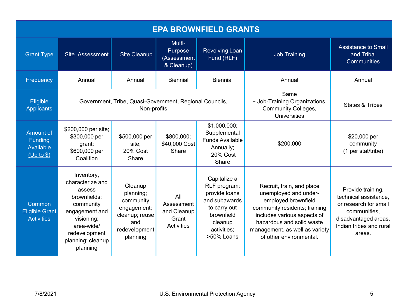| <b>EPA BROWNFIELD GRANTS</b>                           |                                                                                                                                                                       |                                                                                                        |                                                         |                                                                                                                                      |                                                                                                                                                                                                                                     |                                                                                                                                                  |
|--------------------------------------------------------|-----------------------------------------------------------------------------------------------------------------------------------------------------------------------|--------------------------------------------------------------------------------------------------------|---------------------------------------------------------|--------------------------------------------------------------------------------------------------------------------------------------|-------------------------------------------------------------------------------------------------------------------------------------------------------------------------------------------------------------------------------------|--------------------------------------------------------------------------------------------------------------------------------------------------|
| <b>Grant Type</b>                                      | Site Assessment                                                                                                                                                       | <b>Site Cleanup</b>                                                                                    | Multi-<br>Purpose<br>(Assessment<br>& Cleanup)          | <b>Revolving Loan</b><br>Fund (RLF)                                                                                                  | <b>Job Training</b>                                                                                                                                                                                                                 | <b>Assistance to Small</b><br>and Tribal<br>Communities                                                                                          |
| Frequency                                              | Annual                                                                                                                                                                | Annual                                                                                                 | <b>Biennial</b>                                         | <b>Biennial</b>                                                                                                                      | Annual                                                                                                                                                                                                                              | Annual                                                                                                                                           |
| Eligible<br><b>Applicants</b>                          | Government, Tribe, Quasi-Government, Regional Councils,<br>Non-profits                                                                                                |                                                                                                        |                                                         |                                                                                                                                      | Same<br>+ Job-Training Organizations,<br><b>Community Colleges,</b><br>Universities                                                                                                                                                 | <b>States &amp; Tribes</b>                                                                                                                       |
| Amount of<br>Funding<br><b>Available</b><br>(Up to \$) | \$200,000 per site;<br>\$300,000 per<br>grant;<br>\$600,000 per<br>Coalition                                                                                          | \$500,000 per<br>site;<br>20% Cost<br>Share                                                            | \$800,000;<br>\$40,000 Cost<br>Share                    | \$1,000,000;<br>Supplemental<br><b>Funds Available</b><br>Annually;<br>20% Cost<br>Share                                             | \$200,000                                                                                                                                                                                                                           | \$20,000 per<br>community<br>(1 per stat/tribe)                                                                                                  |
| Common<br><b>Eligible Grant</b><br><b>Activities</b>   | Inventory,<br>characterize and<br>assess<br>brownfields;<br>community<br>engagement and<br>visioning;<br>area-wide/<br>redevelopment<br>planning; cleanup<br>planning | Cleanup<br>planning;<br>community<br>engagement;<br>cleanup; reuse<br>and<br>redevelopment<br>planning | All<br>Assessment<br>and Cleanup<br>Grant<br>Activities | Capitalize a<br>RLF program;<br>provide loans<br>and subawards<br>to carry out<br>brownfield<br>cleanup<br>activities;<br>>50% Loans | Recruit, train, and place<br>unemployed and under-<br>employed brownfield<br>community residents; training<br>includes various aspects of<br>hazardous and solid waste<br>management, as well as variety<br>of other environmental. | Provide training,<br>technical assistance,<br>or research for small<br>communities,<br>disadvantaged areas,<br>Indian tribes and rural<br>areas. |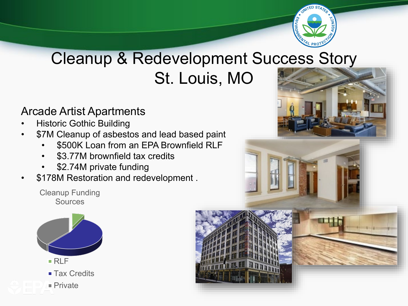

## Cleanup & Redevelopment Success Story St. Louis, MO

## Arcade Artist Apartments

- **Historic Gothic Building**
- \$7M Cleanup of asbestos and lead based paint
	- \$500K Loan from an EPA Brownfield RLF
	- \$3.77M brownfield tax credits
	- \$2.74M private funding
- \$178M Restoration and redevelopment .

Cleanup Funding **Sources** 





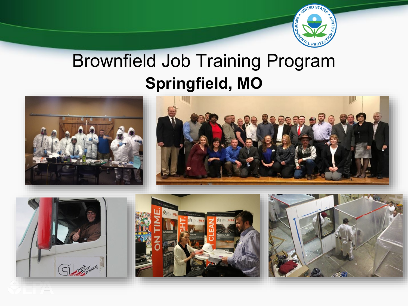

# Brownfield Job Training Program **Springfield, MO**

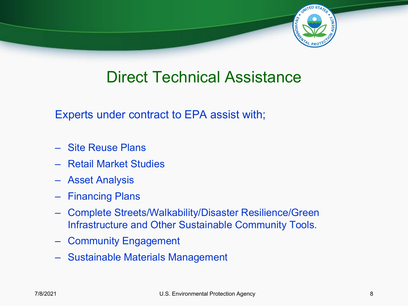

## Direct Technical Assistance

Experts under contract to EPA assist with;

- Site Reuse Plans
- Retail Market Studies
- Asset Analysis
- Financing Plans
- Complete Streets/Walkability/Disaster Resilience/Green Infrastructure and Other Sustainable Community Tools.
- Community Engagement
- Sustainable Materials Management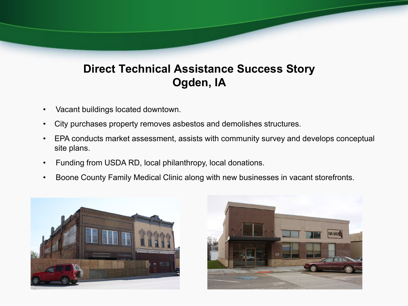## **Direct Technical Assistance Success Story Ogden, IA**

- Vacant buildings located downtown.
- City purchases property removes asbestos and demolishes structures.
- EPA conducts market assessment, assists with community survey and develops conceptual site plans.
- Funding from USDA RD, local philanthropy, local donations.
- Boone County Family Medical Clinic along with new businesses in vacant storefronts.